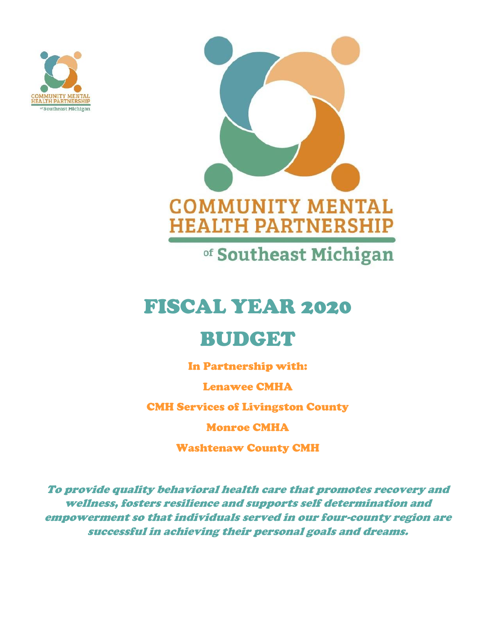



of Southeast Michigan

# FISCAL YEAR 2020

# BUDGET

In Partnership with:

Lenawee CMHA

CMH Services of Livingston County

Monroe CMHA

Washtenaw County CMH

*To provide quality behavioral health care that promotes recovery and wellness, fosters resilience and supports self determination and empowerment so that individuals served in our four-county region are successful in achieving their personal goals and dreams.*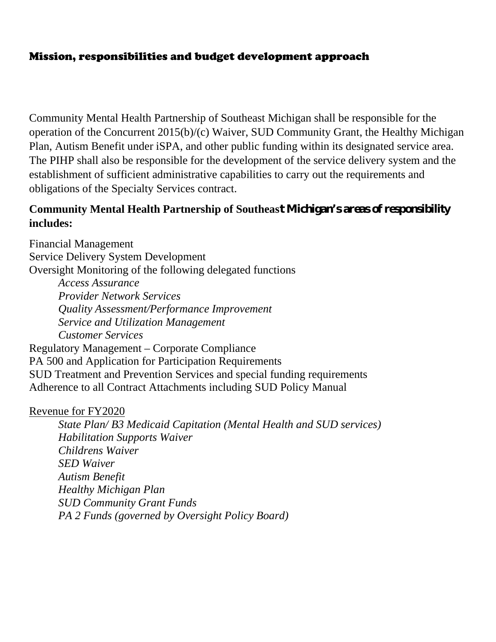## Mission, responsibilities and budget development approach

Community Mental Health Partnership of Southeast Michigan shall be responsible for the operation of the Concurrent 2015(b)/(c) Waiver, SUD Community Grant, the Healthy Michigan Plan, Autism Benefit under iSPA, and other public funding within its designated service area. The PIHP shall also be responsible for the development of the service delivery system and the establishment of sufficient administrative capabilities to carry out the requirements and obligations of the Specialty Services contract.

## **Community Mental Health Partnership of Southeast Michigan's areas of responsibility includes:**

Financial Management Service Delivery System Development Oversight Monitoring of the following delegated functions *Access Assurance Provider Network Services Quality Assessment/Performance Improvement Service and Utilization Management Customer Services* Regulatory Management – Corporate Compliance PA 500 and Application for Participation Requirements SUD Treatment and Prevention Services and special funding requirements Adherence to all Contract Attachments including SUD Policy Manual

### Revenue for FY2020

*State Plan/ B3 Medicaid Capitation (Mental Health and SUD services) Habilitation Supports Waiver Childrens Waiver SED Waiver Autism Benefit Healthy Michigan Plan SUD Community Grant Funds PA 2 Funds (governed by Oversight Policy Board)*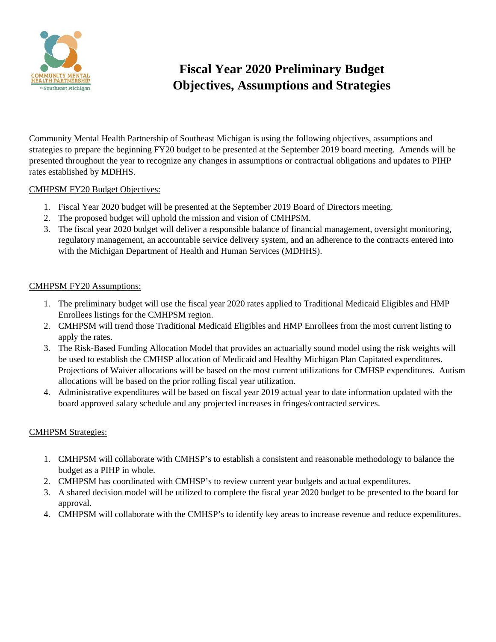

# **Fiscal Year 2020 Preliminary Budget Objectives, Assumptions and Strategies**

Community Mental Health Partnership of Southeast Michigan is using the following objectives, assumptions and strategies to prepare the beginning FY20 budget to be presented at the September 2019 board meeting. Amends will be presented throughout the year to recognize any changes in assumptions or contractual obligations and updates to PIHP rates established by MDHHS.

#### CMHPSM FY20 Budget Objectives:

- 1. Fiscal Year 2020 budget will be presented at the September 2019 Board of Directors meeting.
- 2. The proposed budget will uphold the mission and vision of CMHPSM.
- 3. The fiscal year 2020 budget will deliver a responsible balance of financial management, oversight monitoring, regulatory management, an accountable service delivery system, and an adherence to the contracts entered into with the Michigan Department of Health and Human Services (MDHHS).

#### CMHPSM FY20 Assumptions:

- 1. The preliminary budget will use the fiscal year 2020 rates applied to Traditional Medicaid Eligibles and HMP Enrollees listings for the CMHPSM region.
- 2. CMHPSM will trend those Traditional Medicaid Eligibles and HMP Enrollees from the most current listing to apply the rates.
- 3. The Risk-Based Funding Allocation Model that provides an actuarially sound model using the risk weights will be used to establish the CMHSP allocation of Medicaid and Healthy Michigan Plan Capitated expenditures. Projections of Waiver allocations will be based on the most current utilizations for CMHSP expenditures. Autism allocations will be based on the prior rolling fiscal year utilization.
- 4. Administrative expenditures will be based on fiscal year 2019 actual year to date information updated with the board approved salary schedule and any projected increases in fringes/contracted services.

#### CMHPSM Strategies:

- 1. CMHPSM will collaborate with CMHSP's to establish a consistent and reasonable methodology to balance the budget as a PIHP in whole.
- 2. CMHPSM has coordinated with CMHSP's to review current year budgets and actual expenditures.
- 3. A shared decision model will be utilized to complete the fiscal year 2020 budget to be presented to the board for approval.
- 4. CMHPSM will collaborate with the CMHSP's to identify key areas to increase revenue and reduce expenditures.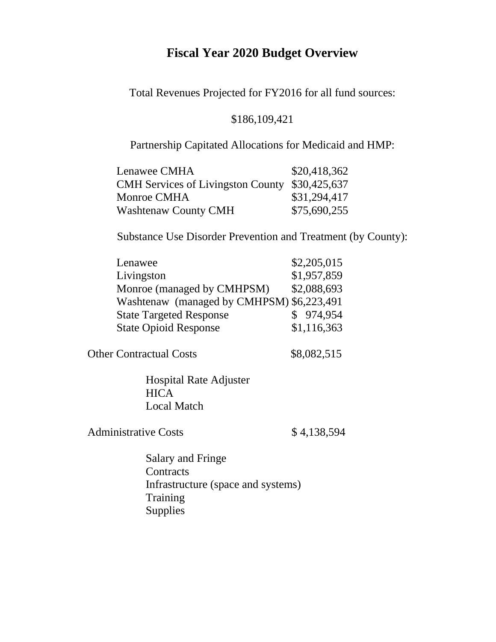# **Fiscal Year 2020 Budget Overview**

Total Revenues Projected for FY2016 for all fund sources:

### \$186,109,421

Partnership Capitated Allocations for Medicaid and HMP:

| Lenawee CMHA                                   | \$20,418,362 |
|------------------------------------------------|--------------|
| CMH Services of Livingston County \$30,425,637 |              |
| Monroe CMHA                                    | \$31,294,417 |
| <b>Washtenaw County CMH</b>                    | \$75,690,255 |

Substance Use Disorder Prevention and Treatment (by County):

| Lenawee                                   | \$2,205,015 |
|-------------------------------------------|-------------|
| Livingston                                | \$1,957,859 |
| Monroe (managed by CMHPSM)                | \$2,088,693 |
| Washtenaw (managed by CMHPSM) \$6,223,491 |             |
| <b>State Targeted Response</b>            | \$974,954   |
| <b>State Opioid Response</b>              | \$1,116,363 |

Other Contractual Costs \$8,082,515

Hospital Rate Adjuster **HICA** Local Match

Administrative Costs \$4,138,594

Salary and Fringe **Contracts** Infrastructure (space and systems) Training Supplies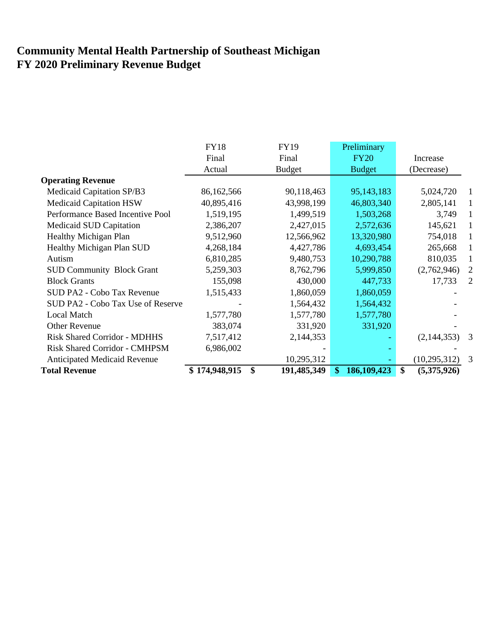# **Community Mental Health Partnership of Southeast Michigan FY 2020 Preliminary Revenue Budget**

|                                      | <b>FY18</b>   | <b>FY19</b>       | Preliminary        |                   |                |
|--------------------------------------|---------------|-------------------|--------------------|-------------------|----------------|
|                                      | Final         | Final             | <b>FY20</b>        | Increase          |                |
|                                      | Actual        | <b>Budget</b>     | <b>Budget</b>      | (Decrease)        |                |
| <b>Operating Revenue</b>             |               |                   |                    |                   |                |
| Medicaid Capitation SP/B3            | 86,162,566    | 90,118,463        | 95,143,183         | 5,024,720         |                |
| <b>Medicaid Capitation HSW</b>       | 40,895,416    | 43,998,199        | 46,803,340         | 2,805,141         |                |
| Performance Based Incentive Pool     | 1,519,195     | 1,499,519         | 1,503,268          | 3,749             |                |
| Medicaid SUD Capitation              | 2,386,207     | 2,427,015         | 2,572,636          | 145,621           |                |
| Healthy Michigan Plan                | 9,512,960     | 12,566,962        | 13,320,980         | 754,018           |                |
| Healthy Michigan Plan SUD            | 4,268,184     | 4,427,786         | 4,693,454          | 265,668           |                |
| Autism                               | 6,810,285     | 9,480,753         | 10,290,788         | 810,035           |                |
| <b>SUD Community Block Grant</b>     | 5,259,303     | 8,762,796         | 5,999,850          | (2,762,946)       | 2              |
| <b>Block Grants</b>                  | 155,098       | 430,000           | 447,733            | 17,733            | $\overline{2}$ |
| SUD PA2 - Cobo Tax Revenue           | 1,515,433     | 1,860,059         | 1,860,059          |                   |                |
| SUD PA2 - Cobo Tax Use of Reserve    |               | 1,564,432         | 1,564,432          |                   |                |
| <b>Local Match</b>                   | 1,577,780     | 1,577,780         | 1,577,780          |                   |                |
| <b>Other Revenue</b>                 | 383,074       | 331,920           | 331,920            |                   |                |
| <b>Risk Shared Corridor - MDHHS</b>  | 7,517,412     | 2,144,353         |                    | (2,144,353)       | 3              |
| <b>Risk Shared Corridor - CMHPSM</b> | 6,986,002     |                   |                    |                   |                |
| <b>Anticipated Medicaid Revenue</b>  |               | 10,295,312        |                    | (10, 295, 312)    | 3              |
| <b>Total Revenue</b>                 | \$174,948,915 | \$<br>191,485,349 | 186,109,423<br>\$. | \$<br>(5,375,926) |                |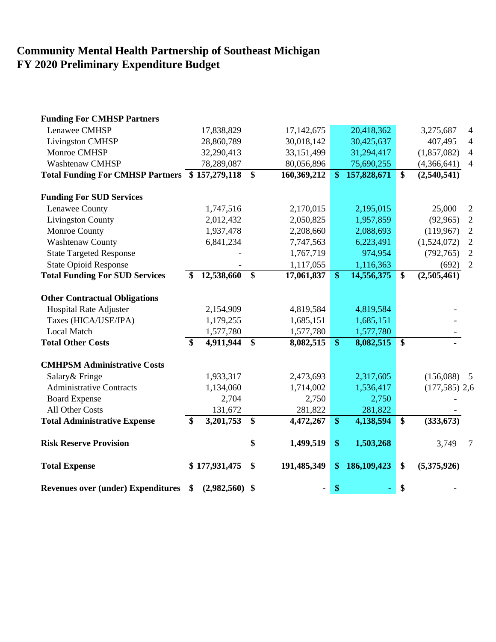# **Community Mental Health Partnership of Southeast Michigan FY 2020 Preliminary Expenditure Budget**

| <b>Funding For CMHSP Partners</b>              |                        |                         |             |                         |             |                 |                 |                          |
|------------------------------------------------|------------------------|-------------------------|-------------|-------------------------|-------------|-----------------|-----------------|--------------------------|
| Lenawee CMHSP                                  | 17,838,829             |                         | 17,142,675  |                         | 20,418,362  |                 | 3,275,687       | $\overline{\mathcal{A}}$ |
| <b>Livingston CMHSP</b>                        | 28,860,789             |                         | 30,018,142  |                         | 30,425,637  |                 | 407,495         | 4                        |
| Monroe CMHSP                                   | 32,290,413             |                         | 33,151,499  |                         | 31,294,417  |                 | (1,857,082)     | $\overline{4}$           |
| <b>Washtenaw CMHSP</b>                         | 78,289,087             |                         | 80,056,896  |                         | 75,690,255  |                 | (4,366,641)     | $\overline{4}$           |
| Total Funding For CMHSP Partners \$157,279,118 |                        | $\overline{\$}$         | 160,369,212 | $\mathbf{\$}$           | 157,828,671 | \$              | (2,540,541)     |                          |
| <b>Funding For SUD Services</b>                |                        |                         |             |                         |             |                 |                 |                          |
| Lenawee County                                 | 1,747,516              |                         | 2,170,015   |                         | 2,195,015   |                 | 25,000          | 2                        |
| <b>Livingston County</b>                       | 2,012,432              |                         | 2,050,825   |                         | 1,957,859   |                 | (92, 965)       | $\overline{2}$           |
| Monroe County                                  | 1,937,478              |                         | 2,208,660   |                         | 2,088,693   |                 | (119,967)       | $\overline{2}$           |
| <b>Washtenaw County</b>                        | 6,841,234              |                         | 7,747,563   |                         | 6,223,491   |                 | (1,524,072)     | $\mathbf{2}$             |
| <b>State Targeted Response</b>                 |                        |                         | 1,767,719   |                         | 974,954     |                 | (792, 765)      | $\overline{2}$           |
| <b>State Opioid Response</b>                   |                        |                         | 1,117,055   |                         | 1,116,363   |                 | (692)           | $\overline{2}$           |
| <b>Total Funding For SUD Services</b>          | 12,538,660             | $\overline{\mathbf{s}}$ | 17,061,837  | $\overline{\mathbf{s}}$ | 14,556,375  | \$              | (2,505,461)     |                          |
| <b>Other Contractual Obligations</b>           |                        |                         |             |                         |             |                 |                 |                          |
| <b>Hospital Rate Adjuster</b>                  | 2,154,909              |                         | 4,819,584   |                         | 4,819,584   |                 |                 |                          |
| Taxes (HICA/USE/IPA)                           | 1,179,255              |                         | 1,685,151   |                         | 1,685,151   |                 |                 |                          |
| <b>Local Match</b>                             | 1,577,780              |                         | 1,577,780   |                         | 1,577,780   |                 |                 |                          |
| <b>Total Other Costs</b>                       | \$<br>4,911,944        | $\boldsymbol{\$}$       | 8,082,515   | $\mathbf{\$}$           | 8,082,515   | $\overline{\$}$ |                 |                          |
| <b>CMHPSM Administrative Costs</b>             |                        |                         |             |                         |             |                 |                 |                          |
| Salary & Fringe                                | 1,933,317              |                         | 2,473,693   |                         | 2,317,605   |                 | (156,088)       | $\overline{5}$           |
| <b>Administrative Contracts</b>                | 1,134,060              |                         | 1,714,002   |                         | 1,536,417   |                 | $(177,585)$ 2,6 |                          |
| <b>Board Expense</b>                           | 2,704                  |                         | 2,750       |                         | 2,750       |                 |                 |                          |
| All Other Costs                                | 131,672                |                         | 281,822     |                         | 281,822     |                 |                 |                          |
| <b>Total Administrative Expense</b>            | \$<br>3,201,753        | \$                      | 4,472,267   | $\$\$                   | 4,138,594   | \$              | (333, 673)      |                          |
| <b>Risk Reserve Provision</b>                  |                        | \$                      | 1,499,519   | \$                      | 1,503,268   |                 | 3,749           | $\tau$                   |
| <b>Total Expense</b>                           | \$177,931,475          | \$                      | 191,485,349 | \$                      | 186,109,423 | \$              | (5,375,926)     |                          |
| <b>Revenues over (under) Expenditures</b>      | \$<br>$(2,982,560)$ \$ |                         |             | \$                      |             | \$              |                 |                          |